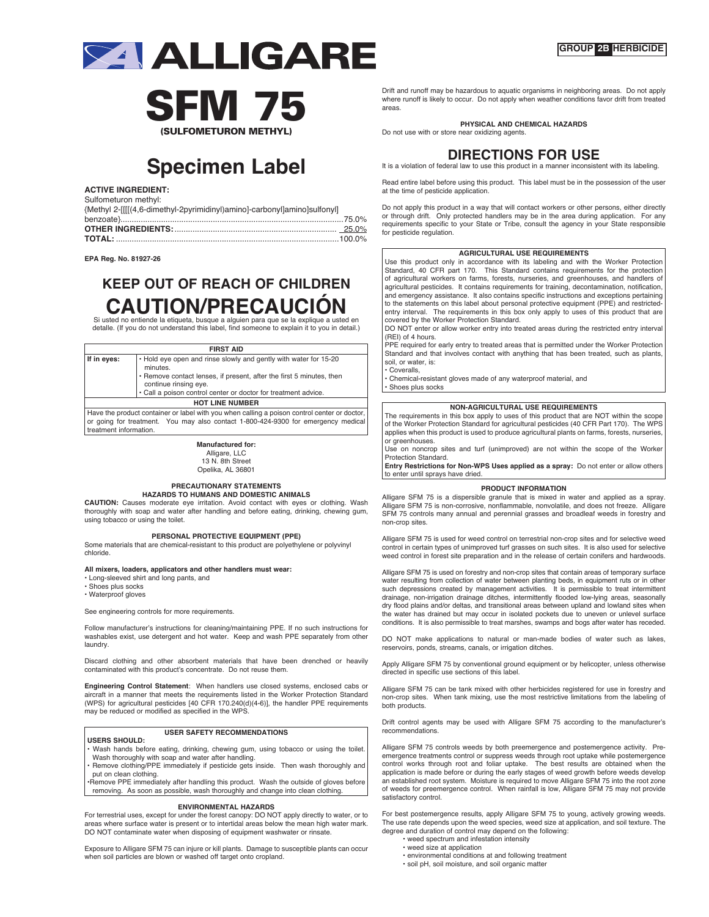



# **Specimen Label**

**ACTIVE INGREDIENT:**

Sulfometuron methyl: {Methyl 2-[[[[(4,6-dimethyl-2pyrimidinyl)amino]-carbonyl]amino]sulfonyl]

**EPA Reg. No. 81927-26**

## **KEEP OUT OF REACH OF CHILDREN CAUTION/PRECAUCIÓN** Si usted no entiende la etiqueta, busque a alguien para que se la explique a usted en

detalle. (If you do not understand this label, find someone to explain it to you in detail.)

| <b>FIRST AID</b>                                                                                                                                                                             |                                                                                                                                                                                   |
|----------------------------------------------------------------------------------------------------------------------------------------------------------------------------------------------|-----------------------------------------------------------------------------------------------------------------------------------------------------------------------------------|
| . Hold eye open and rinse slowly and gently with water for 15-20<br>If in eyes:<br>minutes.<br>• Remove contact lenses, if present, after the first 5 minutes, then<br>continue rinsing eye. |                                                                                                                                                                                   |
|                                                                                                                                                                                              | • Call a poison control center or doctor for treatment advice.                                                                                                                    |
|                                                                                                                                                                                              | <b>HOT LINE NUMBER</b>                                                                                                                                                            |
| treatment information.                                                                                                                                                                       | Have the product container or label with you when calling a poison control center or doctor,<br>or going for treatment. You may also contact 1-800-424-9300 for emergency medical |

**Manufactured for:** Alligare, LLC

13 N. 8th Street Opelika, AL 36801

#### **PRECAUTIONARY STATEMENTS HAZARDS TO HUMANS AND DOMESTIC ANIMALS**

**CAUTION:** Causes moderate eye irritation. Avoid contact with eyes or clothing. Wash thoroughly with soap and water after handling and before eating, drinking, chewing gum, using tobacco or using the toilet.

#### **PERSONAL PROTECTIVE EQUIPMENT (PPE)**

Some materials that are chemical-resistant to this product are polyethylene or polyvinyl chloride.

#### **All mixers, loaders, applicators and other handlers must wear:**

• Long-sleeved shirt and long pants, and

• Shoes plus socks

• Waterproof gloves

See engineering controls for more requirements.

Follow manufacturer's instructions for cleaning/maintaining PPE. If no such instructions for washables exist, use detergent and hot water. Keep and wash PPE separately from other laundry.

Discard clothing and other absorbent materials that have been drenched or heavily contaminated with this product's concentrate. Do not reuse them.

**Engineering Control Statement**: When handlers use closed systems, enclosed cabs or aircraft in a manner that meets the requirements listed in the Worker Protection Standard (WPS) for agricultural pesticides [40 CFR 170.240(d)(4-6)], the handler PPE requirements may be reduced or modified as specified in the WPS.

## **USER SAFETY RECOMMENDATIONS**

**USERS SHOULD:**  Wash hands before eating, drinking, chewing gum, using tobacco or using the toilet Wash thoroughly with soap and water after handling.

• Remove clothing/PPE immediately if pesticide gets inside. Then wash thoroughly and put on clean clothing.

•Remove PPE immediately after handling this product. Wash the outside of gloves before removing. As soon as possible, wash thoroughly and change into clean clothing.

#### **ENVIRONMENTAL HAZARDS**

For terrestrial uses, except for under the forest canopy: DO NOT apply directly to water, or to areas where surface water is present or to intertidal areas below the mean high water mark. DO NOT contaminate water when disposing of equipment washwater or rinsate.

Exposure to Alligare SFM 75 can injure or kill plants. Damage to susceptible plants can occur when soil particles are blown or washed off target onto cropland.

Drift and runoff may be hazardous to aquatic organisms in neighboring areas. Do not apply where runoff is likely to occur. Do not apply when weather conditions favor drift from treated areas.

**PHYSICAL AND CHEMICAL HAZARDS**

Do not use with or store near oxidizing agents.



Read entire label before using this product. This label must be in the possession of the user at the time of pesticide application.

Do not apply this product in a way that will contact workers or other persons, either directly or through drift. Only protected handlers may be in the area during application. For any requirements specific to your State or Tribe, consult the agency in your State responsible for pesticide regulation.

#### **AGRICULTURAL USE REQUIREMENTS**

Use this product only in accordance with its labeling and with the Worker Protection Standard, 40 CFR part 170. This Standard contains requirements for the protection of agricultural workers on farms, forests, nurseries, and greenhouses, and handlers of agricultural pesticides. It contains requirements for training, decontamination, notification, and emergency assistance. It also contains specific instructions and exceptions pertaining to the statements on this label about personal protective equipment (PPE) and restricted-entry interval. The requirements in this box only apply to uses of this product that are covered by the Worker Protection Standard.

DO NOT enter or allow worker entry into treated areas during the restricted entry interval (REI) of 4 hours.

PPE required for early entry to treated areas that is permitted under the Worker Protection Standard and that involves contact with anything that has been treated, such as plants, soil, or water, is:

Coveralls,

• Chemical-resistant gloves made of any waterproof material, and

• Shoes plus socks

## **NON-AGRICULTURAL USE REQUIREMENTS**

The requirements in this box apply to uses of this product that are NOT within the scope of the Worker Protection Standard for agricultural pesticides (40 CFR Part 170). The WPS applies when this product is used to produce agricultural plants on farms, forests, nurseries, or greenhouses.

Use on noncrop sites and turf (unimproved) are not within the scope of the Worker Protection Standard.

**Entry Restrictions for Non-WPS Uses applied as a spray:** Do not enter or allow others to enter until sprays have dried.

#### **PRODUCT INFORMATION**

Alligare SFM 75 is a dispersible granule that is mixed in water and applied as a spray. Alligare SFM 75 is non-corrosive, nonflammable, nonvolatile, and does not freeze. Alligare SFM 75 controls many annual and perennial grasses and broadleaf weeds in forestry and non-crop sites.

Alligare SFM 75 is used for weed control on terrestrial non-crop sites and for selective weed control in certain types of unimproved turf grasses on such sites. It is also used for selective weed control in forest site preparation and in the release of certain conifers and hardwoods.

Alligare SFM 75 is used on forestry and non-crop sites that contain areas of temporary surface water resulting from collection of water between planting beds, in equipment ruts or in other such depressions created by management activities. It is permissible to treat intermittent drainage, non-irrigation drainage ditches, intermittently flooded low-lying areas, seasonally dry flood plains and/or deltas, and transitional areas between upland and lowland sites when the water has drained but may occur in isolated pockets due to uneven or unlevel surface conditions. It is also permissible to treat marshes, swamps and bogs after water has receded.

DO NOT make applications to natural or man-made bodies of water such as lakes, reservoirs, ponds, streams, canals, or irrigation ditches.

Apply Alligare SFM 75 by conventional ground equipment or by helicopter, unless otherwise rected in specific use sections of this label

Alligare SFM 75 can be tank mixed with other herbicides registered for use in forestry and non-crop sites. When tank mixing, use the most restrictive limitations from the labeling of both products.

Drift control agents may be used with Alligare SFM 75 according to the manufacturer's recommendations.

Alligare SFM 75 controls weeds by both preemergence and postemergence activity. Pre-emergence treatments control or suppress weeds through root uptake while postemergence control works through root and foliar uptake. The best results are obtained when the application is made before or during the early stages of weed growth before weeds develop an established root system. Moisture is required to move Alligare SFM 75 into the root zone of weeds for preemergence control. When rainfall is low, Alligare SFM 75 may not provide satisfactory control.

For best postemergence results, apply Alligare SFM 75 to young, actively growing weeds. The use rate depends upon the weed species, weed size at application, and soil texture. The degree and duration of control may depend on the following: • weed spectrum and infestation intensity

- weed size at application
- environmental conditions at and following treatment
- soil pH, soil moisture, and soil organic matter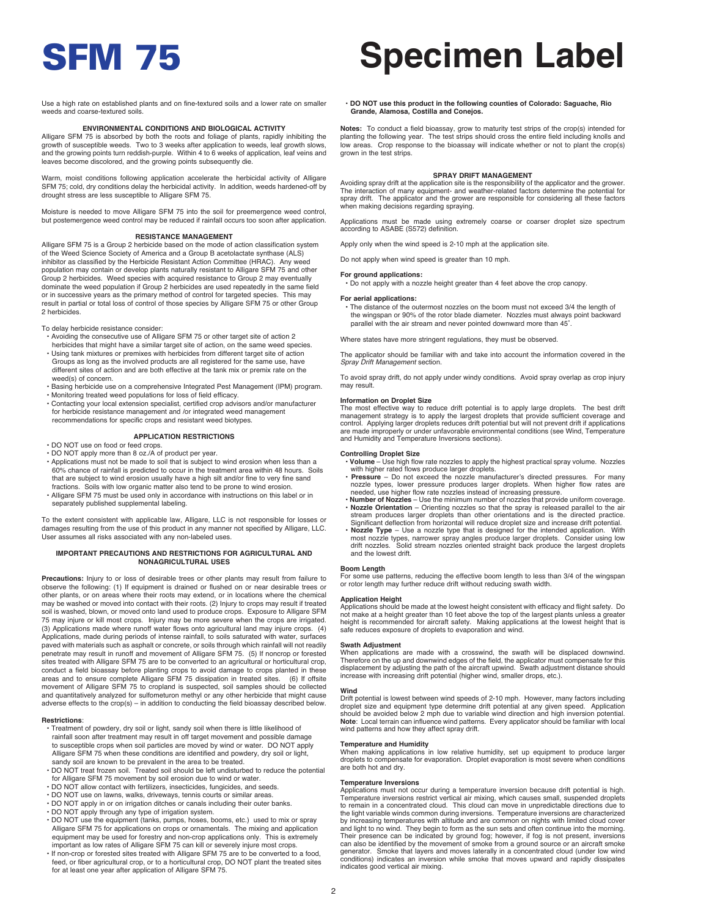# SFM 75 **Specimen Label**

Use a high rate on established plants and on fine-textured soils and a lower rate on smaller weeds and coarse-textured soils.

### **ENVIRONMENTAL CONDITIONS AND BIOLOGICAL ACTIVITY**

Alligare SFM 75 is absorbed by both the roots and foliage of plants, rapidly inhibiting the growth of susceptible weeds. Two to 3 weeks after application to weeds, leaf growth slows, and the growing points turn reddish-purple. Within 4 to 6 weeks of application, leaf veins and leaves become discolored, and the growing points subsequently die.

Warm, moist conditions following application accelerate the herbicidal activity of Alligare SFM 75; cold, dry conditions delay the herbicidal activity. In addition, weeds hardened-off by drought stress are less susceptible to Alligare SFM 75.

Moisture is needed to move Alligare SFM 75 into the soil for preemergence weed control, but postemergence weed control may be reduced if rainfall occurs too soon after application.

#### **RESISTANCE MANAGEMENT**

Alligare SFM 75 is a Group 2 herbicide based on the mode of action classification system of the Weed Science Society of America and a Group B acetolactate synthase (ALS) inhibitor as classified by the Herbicide Resistant Action Committee (HRAC). Any weed population may contain or develop plants naturally resistant to Alligare SFM 75 and other Group 2 herbicides. Weed species with acquired resistance to Group 2 may eventually dominate the weed population if Group 2 herbicides are used repeatedly in the same field or in successive years as the primary method of control for targeted species. This may result in partial or total loss of control of those species by Alligare SFM 75 or other Group 2 herbicides.

To delay herbicide resistance consider:

- Avoiding the consecutive use of Alligare SFM 75 or other target site of action 2 herbicides that might have a similar target site of action, on the same weed species.
- Using tank mixtures or premixes with herbicides from different target site of action Groups as long as the involved products are all registered for the same use, have different sites of action and are both effective at the tank mix or premix rate on the weed(s) of concern.
- Basing herbicide use on a comprehensive Integrated Pest Management (IPM) program. • Monitoring treated weed populations for loss of field efficacy.
- Contacting your local extension specialist, certified crop advisors and/or manufacturer for herbicide resistance management and /or integrated weed management recommendations for specific crops and resistant weed biotypes.

#### **APPLICATION RESTRICTIONS**

• DO NOT use on food or feed crops.

- DO NOT apply more than 8 oz./A of product per year.
- Applications must not be made to soil that is subject to wind erosion when less than a 60% chance of rainfall is predicted to occur in the treatment area within 48 hours. Soils that are subject to wind erosion usually have a high silt and/or fine to very fine sand fractions. Soils with low organic matter also tend to be prone to wind erosion.
- Alligare SFM 75 must be used only in accordance with instructions on this label or in separately published supplemental labeling.

To the extent consistent with applicable law, Alligare, LLC is not responsible for losses or damages resulting from the use of this product in any manner not specified by Alligare, LLC. User assumes all risks associated with any non-labeled uses.

#### **IMPORTANT PRECAUTIONS AND RESTRICTIONS FOR AGRICULTURAL AND NONAGRICULTURAL USES**

**Precautions:** Injury to or loss of desirable trees or other plants may result from failure to observe the following: (1) If equipment is drained or flushed on or near desirable trees or other plants, or on areas where their roots may extend, or in locations where the chemical may be washed or moved into contact with their roots. (2) Injury to crops may result if treated solid is washed, blown, or moved onto land used to produce crops. Exposure to Alligare SFM 75 may injure or kill most crops. Injury may be more severe when the crops are irrigated. (3) Applications made where runoff water flows onto agricultural land may injure crops. (4) Applications, made during periods of intense rainfall, to soils saturated with water, surfaces paved with materials such as asphalt or concrete, or soils through which rainfall will not readily penetrate may result in runoff and movement of Alligare SFM 75. (5) If noncrop or forested sites treated with Alligare SFM 75 are to be converted to an agricultural or horticultural crop, conduct a field bioassay before planting crops to avoid damage to crops planted in these areas and to ensure complete Alligare SFM 75 dissipation in treated sites. (6) If offsite movement of Alligare SFM 75 to cropland is suspected, soil samples should be collected and quantitatively analyzed for sulfometuron methyl or any other herbicide that might cause adverse effects to the crop(s) – in addition to conducting the field bioassay described below.

#### **Restrictions**:

- Treatment of powdery, dry soil or light, sandy soil when there is little likelihood of rainfall soon after treatment may result in off target movement and possible damage to susceptible crops when soil particles are moved by wind or water. DO NOT apply Alligare SFM 75 when these conditions are identified and powdery, dry soil or light, sandy soil are known to be prevalent in the area to be treated.
- DO NOT treat frozen soil. Treated soil should be left undisturbed to reduce the potential for Alligare SFM 75 movement by soil erosion due to wind or water.
- DO NOT allow contact with fertilizers, insecticides, fungicides, and seeds.
- DO NOT use on lawns, walks, driveways, tennis courts or similar areas.
- DO NOT apply in or on irrigation ditches or canals including their outer banks.
- 
- DO NOT apply through any type of irrigation system. DO NOT use the equipment (tanks, pumps, hoses, booms, etc.) used to mix or spray Alligare SFM 75 for applications on crops or ornamentals. The mixing and application equipment may be used for forestry and non-crop applications only. This is extremely important as low rates of Alligare SFM 75 can kill or severely injure most crops.
- If non-crop or forested sites treated with Alligare SFM 75 are to be converted to a food, feed, or fiber agricultural crop, or to a horticultural crop, DO NOT plant the treated sites for at least one year after application of Alligare SFM 75.

#### **• DO NOT use this product in the following counties of Colorado: Saguache, Rio Grande, Alamosa, Costilla and Conejos.**

**Notes:** To conduct a field bioassay, grow to maturity test strips of the crop(s) intended for planting the following year. The test strips should cross the entire field including knolls and low areas. Crop response to the bioassay will indicate whether or not to plant the crop(s) grown in the test strips.

#### **SPRAY DRIFT MANAGEMENT**

Avoiding spray drift at the application site is the responsibility of the applicator and the grower. The interaction of many equipment- and weather-related factors determine the potential for spray drift. The applicator and the grower are responsible for considering all these factors when making decisions regarding spraying.

Applications must be made using extremely coarse or coarser droplet size spectrum according to ASABE (S572) definition.

Apply only when the wind speed is 2-10 mph at the application site.

Do not apply when wind speed is greater than 10 mph.

## **For ground applications:**

**•** Do not apply with a nozzle height greater than 4 feet above the crop canopy.

#### **For aerial applications:**

**•** The distance of the outermost nozzles on the boom must not exceed 3/4 the length of the wingspan or 90% of the rotor blade diameter. Nozzles must always point backward parallel with the air stream and never pointed downward more than 45°.

Where states have more stringent regulations, they must be observed.

The applicator should be familiar with and take into account the information covered in the *Spray Drift Management* section.

To avoid spray drift, do not apply under windy conditions. Avoid spray overlap as crop injury may result.

#### **Information on Droplet Size**

The most effective way to reduce drift potential is to apply large droplets. The best drift management strategy is to apply the largest droplets that provide sufficient coverage and control. Applying larger droplets reduces drift potential but will not prevent drift if applications are made improperly or under unfavorable environmental conditions (see Wind, Temperature and Humidity and Temperature Inversions sections).

- Controlling Droplet Size<br>• Volume Use high flow rate nozzles to apply the highest practical spray volume. Nozzles<br>with higher rated flows produce larger droplets.<br>• Pressure Do not exceed the nozzle manufacturer's dire
- nozzle types, lower pressure produces larger droplets. When higher flow rates are needed, use higher flow rate nozzles instead of increasing pressure.
- **Number of Nozzles** Use the minimum number of nozzles that provide uniform coverage.  **Nozzle Orientation** Orienting nozzles so that the spray is released parallel to the air
- stream produces larger droplets than other orientations and is the directed practice. Significant deflection from horizontal will reduce droplet size and increase drift potential. • Nozzle Type – Use a nozzle type that is designed for the intended application. With<br>most nozzle types, narrower spray angles produce larger droplets. Consider using low<br>drift nozzles. Solid stream nozzles oriented straig and the lowest drift.

#### **Boom Length**

For some use patterns, reducing the effective boom length to less than 3/4 of the wingspan or rotor length may further reduce drift without reducing swath width.

### **Application Height**

Applications should be made at the lowest height consistent with efficacy and flight safety. Do<br>not make at a height greater than 10 feet above the top of the largest plants unless a greater<br>height is recommended for airc safe reduces exposure of droplets to evaporation and wind.

#### **Swath Adjustment**

When applications are made with a crosswind, the swath will be displaced downwind. Therefore on the up and downwind edges of the field, the applicator must compensate for this displacement by adjusting the path of the aircraft upwind. Swath adjustment distance should increase with increasing drift potential (higher wind, smaller drops, etc.).

#### **Wind**

Drift potential is lowest between wind speeds of 2-10 mph. However, many factors including droplet size and equipment type determine drift potential at any given speed. Application should be avoided below 2 mph due to variable wind direction and high inversion potential. **Note**: Local terrain can influence wind patterns. Every applicator should be familiar with local wind patterns and how they affect spray drift.

**Temperature and Humidity** When making applications in low relative humidity, set up equipment to produce larger droplets to compensate for evaporation. Droplet evaporation is most severe when conditions are both hot and dry.

#### **Temperature Inversions**

Applications must not occur during a temperature inversion because drift potential is high. Temperature inversions restrict vertical air mixing, which causes small, suspended droplets to remain in a concentrated cloud. This cloud can move in unpredictable directions due to the light variable winds common during inversions. Temperature inversions are characterized by increasing temperatures with altitude and are common on nights with limited cloud cover and light to no wind. They begin to form as the sun sets and often continue into the morning. Their presence can be indicated by ground fog; however, if fog is not present, inversions can also be identified by the movement of smoke from a ground source or an aircraft smoke generator. Smoke that layers and moves laterally in a concentrated cloud (under low wind conditions) indicates an inversion while smoke that moves upward and rapidly dissipates indicates good vertical air mixing.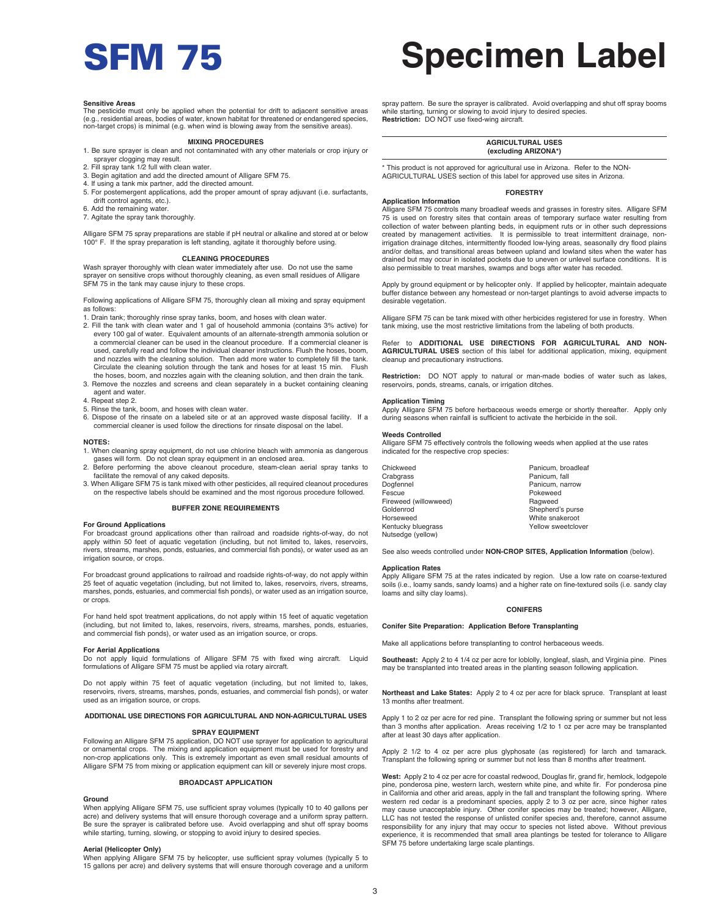# SFM 75 **Specimen Label**

#### **Sensitive Areas**

The pesticide must only be applied when the potential for drift to adjacent sensitive areas (e.g., residential areas, bodies of water, known habitat for threatened or endangered species, non-target crops) is minimal (e.g. when wind is blowing away from the sensitive areas).

#### **MIXING PROCEDURES**

- 1. Be sure sprayer is clean and not contaminated with any other materials or crop injury or sprayer clogging may result.
- 2. Fill spray tank 1/2 full with clean water.
- 3. Begin agitation and add the directed amount of Alligare SFM 75.
- 4. If using a tank mix partner, add the directed amount.
- 5. For postemergent applications, add the proper amount of spray adjuvant (i.e. surfactants, drift control agents, etc.).
- 6. Add the remaining water.
- 7. Agitate the spray tank thoroughly.

Alligare SFM 75 spray preparations are stable if pH neutral or alkaline and stored at or below 100° F. If the spray preparation is left standing, agitate it thoroughly before using.

#### **CLEANING PROCEDURES**

Wash sprayer thoroughly with clean water immediately after use. Do not use the same sprayer on sensitive crops without thoroughly cleaning, as even small residues of Alligare SFM 75 in the tank may cause injury to these crops.

Following applications of Alligare SFM 75, thoroughly clean all mixing and spray equipment as follows:

- 1. Drain tank; thoroughly rinse spray tanks, boom, and hoses with clean water.
- 2. Fill the tank with clean water and 1 gal of household ammonia (contains 3% active) for every 100 gal of water. Equivalent amounts of an alternate-strength ammonia solution or a commercial cleaner can be used in the cleanout procedure. If a commercial cleaner is used, carefully read and follow the individual cleaner instructions. Flush the hoses, boom, and nozzles with the cleaning solution. Then add more water to completely fill the tank.<br>Circulate the cleaning solution through the tank and hoses for at least 15 min Flush Circulate the cleaning solution through the tank and hoses for at least 15 min. the hoses, boom, and nozzles again with the cleaning solution, and then drain the tank.
- 3. Remove the nozzles and screens and clean separately in a bucket containing cleaning agent and water.
- 4. Repeat step 2.
- 5. Rinse the tank, boom, and hoses with clean water.
- 6. Dispose of the rinsate on a labeled site or at an approved waste disposal facility. If a commercial cleaner is used follow the directions for rinsate disposal on the label.

#### **NOTES:**

- 1. When cleaning spray equipment, do not use chlorine bleach with ammonia as dangerous gases will form. Do not clean spray equipment in an enclosed area.
- 2. Before performing the above cleanout procedure, steam-clean aerial spray tanks to
- facilitate the removal of any caked deposits. 3. When Alligare SFM 75 is tank mixed with other pesticides, all required cleanout procedures on the respective labels should be examined and the most rigorous procedure followed.

#### **BUFFER ZONE REQUIREMENTS**

#### **For Ground Applications**

For broadcast ground applications other than railroad and roadside rights-of-way, do not apply within 50 feet of aquatic vegetation (including, but not limited to, lakes, reservoirs, rivers, streams, marshes, ponds, estuaries, and commercial fish ponds), or water used as an irrigation source, or crops.

For broadcast ground applications to railroad and roadside rights-of-way, do not apply within 25 feet of aquatic vegetation (including, but not limited to, lakes, reservoirs, rivers, streams, marshes, ponds, estuaries, and commercial fish ponds), or water used as an irrigation source, or crops.

For hand held spot treatment applications, do not apply within 15 feet of aquatic vegetation (including, but not limited to, lakes, reservoirs, rivers, streams, marshes, ponds, estuaries, and commercial fish ponds), or water used as an irrigation source, or crops.

#### **For Aerial Applications**

Do not apply liquid formulations of Alligare SFM 75 with fixed wing aircraft. Liquid formulations of Alligare SFM 75 must be applied via rotary aircraft.

Do not apply within 75 feet of aquatic vegetation (including, but not limited to, lakes, reservoirs, rivers, streams, marshes, ponds, estuaries, and commercial fish ponds), or water used as an irrigation source, or crops.

#### **ADDITIONAL USE DIRECTIONS FOR AGRICULTURAL AND NON-AGRICULTURAL USES**

#### **SPRAY EQUIPMENT**

Following an Alligare SFM 75 application, DO NOT use sprayer for application to agricultural or ornamental crops. The mixing and application equipment must be used for forestry and non-crop applications only. This is extremely important as even small residual amounts of Alligare SFM 75 from mixing or application equipment can kill or severely injure most crops.

#### **BROADCAST APPLICATION**

#### **Ground**

When applying Alligare SFM 75, use sufficient spray volumes (typically 10 to 40 gallons per acre) and delivery systems that will ensure thorough coverage and a uniform spray pattern. Be sure the sprayer is calibrated before use. Avoid overlapping and shut off spray booms while starting, turning, slowing, or stopping to avoid injury to desired species.

#### **Aerial (Helicopter Only)**

When applying Alligare SFM 75 by helicopter, use sufficient spray volumes (typically 5 to 15 gallons per acre) and delivery systems that will ensure thorough coverage and a uniform spray pattern. Be sure the sprayer is calibrated. Avoid overlapping and shut off spray booms while starting, turning or slowing to avoid injury to desired species. **Restriction:** DO NOT use fixed-wing aircraft.

#### **AGRICULTURAL USES (excluding ARIZONA\*)**

\* This product is not approved for agricultural use in Arizona. Refer to the NON-AGRICULTURAL USES section of this label for approved use sites in Arizona.

#### **FORESTRY**

Alligare SFM 75 controls many broadleaf weeds and grasses in forestry sites. Alligare SFM 75 is used on forestry sites that contain areas of temporary surface water resulting from collection of water between planting beds, in equipment ruts or in other such depressions created by management activities. It is permissible to treat intermittent drainage, nonirrigation drainage ditches, intermittently flooded low-lying areas, seasonally dry flood plains<br>and/or deltas, and transitional areas between upland and lowland sites when the water has drained but may occur in isolated pockets due to uneven or unlevel surface conditions. It is also permissible to treat marshes, swamps and bogs after water has receded.

Apply by ground equipment or by helicopter only. If applied by helicopter, maintain adequate buffer distance between any homestead or non-target plantings to avoid adverse impacts to desirable vegetation.

Alligare SFM 75 can be tank mixed with other herbicides registered for use in forestry. When tank mixing, use the most restrictive limitations from the labeling of both products.

Refer to **ADDITIONAL USE DIRECTIONS FOR AGRICULTURAL AND NON-AGRICULTURAL USES** section of this label for additional application, mixing, equipment cleanup and precautionary instructions.

**Restriction:** DO NOT apply to natural or man-made bodies of water such as lakes, reservoirs, ponds, streams, canals, or irrigation ditches.

#### **Application Timing**

**Application Information**

Apply Alligare SFM 75 before herbaceous weeds emerge or shortly thereafter. Apply only during seasons when rainfall is sufficient to activate the herbicide in the soil.

#### **Weeds Controlled**

Alligare SFM 75 effectively controls the following weeds when applied at the use rates indicated for the respective crop species:

| Chickweed<br>Crabgrass | Panicum, broadleaf<br>Panicum, fall |
|------------------------|-------------------------------------|
| Dogfennel              | Panicum, narrow                     |
| Fescue                 | Pokeweed                            |
| Fireweed (willowweed)  | Ragweed                             |
| Goldenrod              | Shepherd's purse                    |
| Horseweed              | White snakeroot                     |
| Kentucky bluegrass     | Yellow sweetclover                  |
| Nutsedge (yellow)      |                                     |

See also weeds controlled under **NON-CROP SITES, Application Information** (below).

#### **Application Rates**

Apply Alligare SFM 75 at the rates indicated by region. Use a low rate on coarse-textured soils (i.e., loamy sands, sandy loams) and a higher rate on fine-textured soils (i.e. sandy clay loams and silty clay loams).

#### **CONIFERS**

#### **Conifer Site Preparation: Application Before Transplanting**

Make all applications before transplanting to control herbaceous weeds.

**Southeast:** Apply 2 to 4 1/4 oz per acre for loblolly, longleaf, slash, and Virginia pine. Pines may be transplanted into treated areas in the planting season following application.

**Northeast and Lake States:** Apply 2 to 4 oz per acre for black spruce. Transplant at least 13 months after treatment.

Apply 1 to 2 oz per acre for red pine. Transplant the following spring or summer but not less than 3 months after application. Areas receiving 1/2 to 1 oz per acre may be transplanted after at least 30 days after application.

Apply 2 1/2 to 4 oz per acre plus glyphosate (as registered) for larch and tamarack. Transplant the following spring or summer but not less than 8 months after treatment.

**West:** Apply 2 to 4 oz per acre for coastal redwood, Douglas fir, grand fir, hemlock, lodgepole pine, ponderosa pine, western larch, western white pine, and white fir. For ponderosa pine in California and other arid areas, apply in the fall and transplant the following spring. Where western red cedar is a predominant species, apply 2 to 3 oz per acre, since higher rates may cause unacceptable injury. Other conifer species may be treated; however, Alligare, LLC has not tested the response of unlisted conifer species and, therefore, cannot assume responsibility for any injury that may occur to species not listed above. Without previous experience, it is recommended that small area plantings be tested for tolerance to Alligare SFM 75 before undertaking large scale plantings.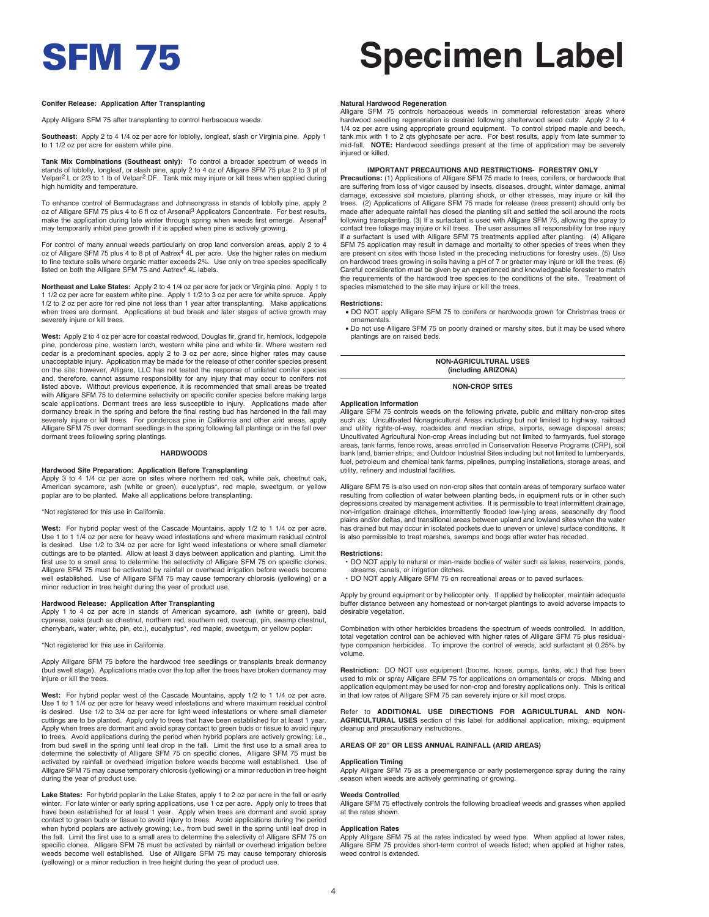#### **Conifer Release: Application After Transplanting**

Apply Alligare SFM 75 after transplanting to control herbaceous weeds.

**Southeast:** Apply 2 to 4 1/4 oz per acre for loblolly, longleaf, slash or Virginia pine. Apply 1 to 1 1/2 oz per acre for eastern white pine.

**Tank Mix Combinations (Southeast only):** To control a broader spectrum of weeds in stands of loblolly, longleaf, or slash pine, apply 2 to 4 oz of Alligare SFM 75 plus 2 to 3 pt of<br>Velpar<sup>2</sup> L or 2/3 to 1 lb of Velpar<sup>2</sup> DF. Tank mix may injure or kill trees when applied during high humidity and temperature.

To enhance control of Bermudagrass and Johnsongrass in stands of loblolly pine, apply 2 oz of Alligare SFM 75 plus 4 to 6 fl oz of Arsenal3 Applicators Concentrate. For best results, make the application during late winter through spring when weeds first emerge. Arsenal<sup>3</sup> may temporarily inhibit pine growth if it is applied when pine is actively growing.

For control of many annual weeds particularly on crop land conversion areas, apply 2 to 4 oz of Alligare SFM 75 plus 4 to 8 pt of Aatrex<sup>4</sup> 4L per acre. Use the higher rates on medium<br>to fine texture soils where organic matter exceeds 2%. Use only on tree species specifically<br>listed on both the Alligare SFM 75

**Northeast and Lake States:** Apply 2 to 4 1/4 oz per acre for jack or Virginia pine. Apply 1 to 1 1/2 oz per acre for eastern white pine. Apply 1 1/2 to 3 oz per acre for white spruce. Apply 1/2 to 2 oz per acre for red pine not less than 1 year after transplanting. Make applications when trees are dormant. Applications at bud break and later stages of active growth may severely injure or kill trees.

**West:** Apply 2 to 4 oz per acre for coastal redwood, Douglas fir, grand fir, hemlock, lodgepole pine, ponderosa pine, western larch, western white pine and white fir. Where western red cedar is a predominant species, apply 2 to 3 oz per acre, since higher rates may cause unacceptable injury. Application may be made for the release of other conifer species present on the site; however, Alligare, LLC has not tested the response of unlisted conifer species and, therefore, cannot assume responsibility for any injury that may occur to conifers not listed above. Without previous experience, it is recommended that small areas be treated with Alligare SFM 75 to determine selectivity on specific conifer species before making large scale applications. Dormant trees are less susceptible to injury. Applications made after dormancy break in the spring and before the final resting bud has hardened in the fall may severely injure or kill trees. For ponderosa pine in California and other arid areas, apply Alligare SFM 75 over dormant seedlings in the spring following fall plantings or in the fall over dormant trees following spring plantings.

#### **HARDWOODS**

#### **Hardwood Site Preparation: Application Before Transplanting**

Apply 3 to 4 1/4 oz per acre on sites where northern red oak, white oak, chestnut oak, American sycamore, ash (white or green), eucalyptus\*, red maple, sweetgum, or yellow poplar are to be planted. Make all applications before transplanting.

#### \*Not registered for this use in California.

West: For hybrid poplar west of the Cascade Mountains, apply 1/2 to 1 1/4 oz per acre. Use 1 to 1 1/4 oz per acre for heavy weed infestations and where maximum residual control is desired. Use 1/2 to 3/4 oz per acre for light weed infestations or where small diameter cuttings are to be planted. Allow at least 3 days between application and planting. Limit the first use to a small area to determine the selectivity of Alligare SFM 75 on specific clones. Alligare SFM 75 must be activated by rainfall or overhead irrigation before weeds become well established. Use of Alligare SFM 75 may cause temporary chlorosis (yellowing) or a minor reduction in tree height during the year of product use.

**Hardwood Release: Application After Transplanting**<br>Apply 1 to 4 oz per acre in stands of American sycamore, ash (white or green), bald cypress, oaks (such as chestnut, northern red, southern red, overcup, pin, swamp chestnut, cherrybark, water, white, pin, etc.), eucalyptus\*, red maple, sweetgum, or yellow poplar.

#### \*Not registered for this use in California.

Apply Alligare SFM 75 before the hardwood tree seedlings or transplants break dormancy (bud swell stage). Applications made over the top after the trees have broken dormancy may injure or kill the trees.

**West:** For hybrid poplar west of the Cascade Mountains, apply 1/2 to 1 1/4 oz per acre. Use 1 to 1 1/4 oz per acre for heavy weed infestations and where maximum residual control is desired. Use 1/2 to 3/4 oz per acre for light weed infestations or where small diameter cuttings are to be planted. Apply only to trees that have been established for at least 1 year. Apply when trees are dormant and avoid spray contact to green buds or tissue to avoid injury to trees. Avoid applications during the period when hybrid poplars are actively growing; i.e., from bud swell in the spring until leaf drop in the fall. Limit the first use to a small area to determine the selectivity of Alligare SFM 75 on specific clones. Alligare SFM 75 must be activated by rainfall or overhead irrigation before weeds become well established. Use of Alligare SFM 75 may cause temporary chlorosis (yellowing) or a minor reduction in tree height during the year of product use.

**Lake States:** For hybrid poplar in the Lake States, apply 1 to 2 oz per acre in the fall or early winter. For late winter or early spring applications, use 1 oz per acre. Apply only to trees that have been established for at least 1 year. Apply when trees are dormant and avoid spray contact to green buds or tissue to avoid injury to trees. Avoid applications during the period when hybrid poplars are actively growing; i.e., from bud swell in the spring until leaf drop in the fall. Limit the first use to a small area to determine the selectivity of Alligare SFM 75 on specific clones. Alligare SFM 75 must be activated by rainfall or overhead irrigation before weeds become well established. Use of Alligare SFM 75 may cause temporary chlorosis (yellowing) or a minor reduction in tree height during the year of product use.

# SFM 75 **Specimen Label**

#### **Natural Hardwood Regeneration**

Alligare SFM 75 controls herbaceous weeds in commercial reforestation areas where hardwood seedling regeneration is desired following shelterwood seed cuts. Apply 2 to 4 1/4 oz per acre using appropriate ground equipment. To control striped maple and beech, tank mix with 1 to 2 qts glyphosate per acre. For best results, apply from late summer to mid-fall. **NOTE:** Hardwood seedlings present at the time of application may be severely injured or killed

#### **IMPORTANT PRECAUTIONS AND RESTRICTIONS- FORESTRY ONLY**

**Precautions:** (1) Applications of Alligare SFM 75 made to trees, conifers, or hardwoods that are suffering from loss of vigor caused by insects, diseases, drought, winter damage, animal damage, excessive soil moisture, planting shock, or other stresses, may injure or kill the trees. (2) Applications of Alligare SFM 75 made for release (trees present) should only be made after adequate rainfall has closed the planting slit and settled the soil around the roots following transplanting. (3) If a surfactant is used with Alligare SFM 75, allowing the spray to contact tree foliage may injure or kill trees. The user assumes all responsibility for tree injury if a surfactant is used with Alligare SFM 75 treatments applied after planting. (4) Alligare SFM 75 application may result in damage and mortality to other species of trees when they are present on sites with those listed in the preceding instructions for forestry uses. (5) Use on hardwood trees growing in soils having a pH of 7 or greater may injure or kill the trees. (6) Careful consideration must be given by an experienced and knowledgeable forester to match the requirements of the hardwood tree species to the conditions of the site. Treatment of species mismatched to the site may injure or kill the trees.

#### **Restrictions:**

- DO NOT apply Alligare SFM 75 to conifers or hardwoods grown for Christmas trees or ornamentals
- Do not use Alligare SFM 75 on poorly drained or marshy sites, but it may be used where plantings are on raised beds.

#### **NON-AGRICULTURAL USES (including ARIZONA)**

#### **NON-CROP SITES**

#### **Application Information**

Alligare SFM 75 controls weeds on the following private, public and military non-crop sites such as: Uncultivated Nonagricultural Areas including but not limited to highway, railroad and utility rights-of-way, roadsides and median strips, airports, sewage disposal areas; Uncultivated Agricultural Non-crop Areas including but not limited to farmyards, fuel storage areas, tank farms, fence rows, areas enrolled in Conservation Reserve Programs (CRP), soil bank land, barrier strips; and Outdoor Industrial Sites including but not limited to lumberyards, fuel, petroleum and chemical tank farms, pipelines, pumping installations, storage areas, and utility, refinery and industrial facilities.

Alligare SFM 75 is also used on non-crop sites that contain areas of temporary surface water resulting from collection of water between planting beds, in equipment ruts or in other such depressions created by management activities. It is permissible to treat intermittent drainage, non-irrigation drainage ditches, intermittently flooded low-lying areas, seasonally dry flood plains and/or deltas, and transitional areas between upland and lowland sites when the water has drained but may occur in isolated pockets due to uneven or unlevel surface conditions. It is also permissible to treat marshes, swamps and bogs after water has receded.

#### **Restrictions:**

- DO NOT apply to natural or man-made bodies of water such as lakes, reservoirs, ponds, streams, canals, or irrigation ditches.
- DO NOT apply Alligare SFM 75 on recreational areas or to paved surfaces.

 Apply by ground equipment or by helicopter only. If applied by helicopter, maintain adequate buffer distance between any homestead or non-target plantings to avoid adverse impacts to desirable vegetation.

Combination with other herbicides broadens the spectrum of weeds controlled. In addition, total vegetation control can be achieved with higher rates of Alligare SFM 75 plus residualtype companion herbicides. To improve the control of weeds, add surfactant at 0.25% by volume.

**Restriction:** DO NOT use equipment (booms, hoses, pumps, tanks, etc.) that has been used to mix or spray Alligare SFM 75 for applications on ornamentals or crops. Mixing and application equipment may be used for non-crop and forestry applications only. This is critical in that low rates of Alligare SFM 75 can severely injure or kill most crops.

to **ADDITIONAL USE DIRECTIONS FOR AGRICULTURAL AND NON-AGRICULTURAL USES** section of this label for additional application, mixing, equipment cleanup and precautionary instructions.

#### **AREAS OF 20" OR LESS ANNUAL RAINFALL (ARID AREAS)**

#### **Application Timing**

Apply Alligare SFM 75 as a preemergence or early postemergence spray during the rainy season when weeds are actively germinating or growing.

#### **Weeds Controlled**

Alligare SFM 75 effectively controls the following broadleaf weeds and grasses when applied at the rates shown.

### **Application Rates**

Apply Alligare SFM 75 at the rates indicated by weed type. When applied at lower rates, Alligare SFM 75 provides short-term control of weeds listed; when applied at higher rates, weed control is extended.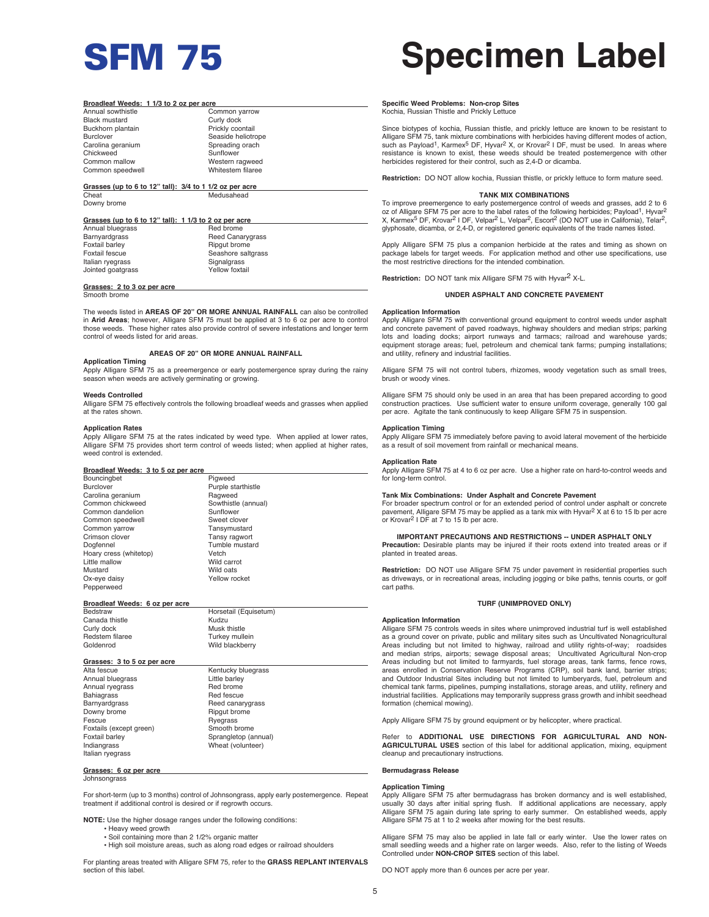#### **Broadleaf Weeds: 1 1/3 to 2 oz per acre**

| Annual sowthistle    |
|----------------------|
| <b>Black mustard</b> |
| Buckhorn plantain    |
| <b>Burclover</b>     |
| Carolina geranium    |
| Chickweed            |
| Common mallow        |
| Common sneedwell     |

Common varrow Curly dock Prickly coontail Seaside heliotrope Spreading orach Sunflower Western ragweed Whitestem filaree

#### **Grasses (up to 6 to 12" tall): 3/4 to 1 1/2 oz per acre** Medusahead

Downy brome

| Grasses (up to 6 to 12" tall): 1 1/3 to 2 oz per acre |                         |  |
|-------------------------------------------------------|-------------------------|--|
| Annual bluegrass                                      | Red brome               |  |
| Barnyardgrass                                         | <b>Reed Canarygrass</b> |  |
| Foxtail barley                                        | Ripgut brome            |  |
| Foxtail fescue                                        | Seashore saltgrass      |  |
| Italian ryegrass                                      | Signalgrass             |  |
| Jointed goatgrass                                     | Yellow foxtail          |  |
|                                                       |                         |  |

## **Grasses: 2 to 3 oz per acre**

Smooth brome

The weeds listed in **AREAS OF 20" OR MORE ANNUAL RAINFALL** can also be controlled in **Arid Areas**; however, Alligare SFM 75 must be applied at 3 to 6 oz per acre to control those weeds. These higher rates also provide control of severe infestations and longer term control of weeds listed for arid areas.

## **AREAS OF 20" OR MORE ANNUAL RAINFALL**

## **Application Timing**

Apply Alligare SFM 75 as a preemergence or early postemergence spray during the rainy season when weeds are actively germinating or growing.

#### **Weeds Controlled**

Alligare SFM 75 effectively controls the following broadleaf weeds and grasses when applied at the rates shown.

#### **Application Rates**

Apply Alligare SFM 75 at the rates indicated by weed type. When applied at lower rates, Alligare SFM 75 provides short term control of weeds listed; when applied at higher rates, weed control is extended.

#### **Broadleaf Weeds: 3 to 5 oz per acre**

| Bouncingbet            | Piaweed             |  |
|------------------------|---------------------|--|
| <b>Burclover</b>       | Purple starthistle  |  |
| Carolina geranium      | Ragweed             |  |
| Common chickweed       | Sowthistle (annual) |  |
| Common dandelion       | Sunflower           |  |
| Common speedwell       | Sweet clover        |  |
| Common yarrow          | Tansymustard        |  |
| Crimson clover         | Tansy ragwort       |  |
| Dogfennel              | Tumble mustard      |  |
| Hoary cress (whitetop) | Vetch               |  |
| Little mallow          | Wild carrot         |  |
| Mustard                | Wild oats           |  |
| Ox-eye daisy           | Yellow rocket       |  |
| Pepperweed             |                     |  |

#### **Broadleaf Weeds: 6 oz per acre**

| beustraw        |  |
|-----------------|--|
| Canada thistle  |  |
| Curly dock      |  |
| Redstem filaree |  |
| Goldenrod       |  |
|                 |  |

Kudzu Musk thistle Turkey mullein Wild blackberry

#### **Grasses: 3 to 5 oz per acre**

Alta fescue **Kentucky bluegrass**<br>Annual bluegrass **Annual State Contains Annual State Contains Annual State Contains Act Contains Act Contains A** Annual bluegrass Communication Communication Communication Communication Communication Communication Communica<br>Annual ryearass Communication Communication Communication Communication Communication Communication Communicat<br> Annual ryegrass<br>Bahiagrass Bahiagrass **Red fescue**<br>Barnyardgrass **Red Festival Red fescue** Downy brome<br>Fescue Foxtails (except green)<br>Foxtail barlev Foxtail barley Sprangletop (annual)<br>
Indiangrass Wheat (volunteer) Italian ryegrass

**Grasses: 6 oz per acre**  Johnsongrass

Reed canarygrass<br>Ripgut brome Ryegrass<br>Smooth brome Wheat (volunteer)

Horsetail (Equisetum)

For short-term (up to 3 months) control of Johnsongrass, apply early postemergence. Repeat treatment if additional control is desired or if regrowth occurs.

**NOTE:** Use the higher dosage ranges under the following conditions:

- Heavy weed growth
	- Soil containing more than 2 1/2% organic matter
	- High soil moisture areas, such as along road edges or railroad shoulders

For planting areas treated with Alligare SFM 75, refer to the **GRASS REPLANT INTERVALS** section of this label

# SFM 75 **Specimen Label**

#### **Specific Weed Problems: Non-crop Sites** Kochia, Russian Thistle and Prickly Lettuce

Since biotypes of kochia, Russian thistle, and prickly lettuce are known to be resistant to Alligare SFM 75, tank mixture combinations with herbicides having different modes of action, surgard or the regime combinations will helphoted having different modes of action,<br>such as Payload<sup>1</sup>, Karmex<sup>5</sup> DF, Hyvar<sup>2</sup> X, or Krovar<sup>2</sup> I DF, must be used. In areas where resistance is known to exist, these weeds should be treated postemergence with other herbicides registered for their control, such as 2,4-D or dicamba.

**Restriction:** DO NOT allow kochia, Russian thistle, or prickly lettuce to form mature seed.

#### **TANK MIX COMBINATIONS**

To improve preemergence to early postemergence control of weeds and grasses, add 2 to 6 oz of Alligare SFM 75 per acre to the label rates of the following herbicides; Payload<sup>1</sup>, Hyvar<sup>2</sup> X, Karmex<sup>5</sup> DF, Krovar<sup>2</sup> I DF, Velpar<sup>2</sup> L, Velpar<sup>2</sup>, Escort<sup>2</sup> (DO NOT use in California), Telar<sup>2</sup>, glyphosate, dicamba, or 2,4-D, or registered generic equivalents of the trade names listed.

Apply Alligare SFM 75 plus a companion herbicide at the rates and timing as shown on package labels for target weeds. For application method and other use specifications, use the most restrictive directions for the intended combination.

**Restriction:** DO NOT tank mix Alligare SFM 75 with Hyvar2 X-L.

#### **UNDER ASPHALT AND CONCRETE PAVEMENT**

### **Application Information**

Apply Alligare SFM 75 with conventional ground equipment to control weeds under asphalt and concrete pavement of paved roadways, highway shoulders and median strips; parking lots and loading docks; airport runways and tarmacs; railroad and warehouse yards; equipment storage areas; fuel, petroleum and chemical tank farms; pumping installations; and utility, refinery and industrial facilities.

Alligare SFM 75 will not control tubers, rhizomes, woody vegetation such as small trees, brush or woody vines

Alligare SFM 75 should only be used in an area that has been prepared according to good construction practices. Use sufficient water to ensure uniform coverage, generally 100 gal per acre. Agitate the tank continuously to keep Alligare SFM 75 in suspension.

### **Application Timing**

Apply Alligare SFM 75 immediately before paving to avoid lateral movement of the herbicide as a result of soil movement from rainfall or mechanical means.

#### **Application Rate**

Apply Alligare SFM 75 at 4 to 6 oz per acre. Use a higher rate on hard-to-control weeds and for long-term control.

#### **Tank Mix Combinations: Under Asphalt and Concrete Pavement**

For broader spectrum control or for an extended period of control under asphalt or concrete<br>pavement, Alligare SFM 75 may be applied as a tank mix with Hyvar<sup>2</sup> X at 6 to 15 lb per acre or Krovar<sup>2</sup> I DF at 7 to 15 lb per acre.

#### **IMPORTANT PRECAUTIONS AND RESTRICTIONS -- UNDER ASPHALT ONLY**

**Precaution:** Desirable plants may be injured if their roots extend into treated areas or if planted in treated areas.

**Restriction:** DO NOT use Alligare SFM 75 under pavement in residential properties such as driveways, or in recreational areas, including jogging or bike paths, tennis courts, or golf cart paths.

#### **TURF (UNIMPROVED ONLY)**

#### **Application Information**

Alligare SFM 75 controls weeds in sites where unimproved industrial turf is well established as a ground cover on private, public and military sites such as Uncultivated Nonagricultural Areas including but not limited to highway, railroad and utility rights-of-way; roadsides and median strips, airports; sewage disposal areas; Uncultivated Agricultural Non-crop Areas including but not limited to farmyards, fuel storage areas, tank farms, fence rows,<br>areas enrolled in Conservation Reserve Programs (CRP), soil bank land, barrier strips;<br>and Outdoor Industrial Sites including but no chemical tank farms, pipelines, pumping installations, storage areas, and utility, refinery and industrial facilities. Applications may temporarily suppress grass growth and inhibit seedhead formation (chemical mowing).

Apply Alligare SFM 75 by ground equipment or by helicopter, where practical.

Refer to **ADDITIONAL USE DIRECTIONS FOR AGRICULTURAL AND NON-AGRICULTURAL USES** section of this label for additional application, mixing, equipment cleanup and precautionary instructions.

#### **Bermudagrass Release**

#### **Application Timing**

Apply Alligare SFM 75 after bermudagrass has broken dormancy and is well established, usually 30 days after initial spring flush. If additional applications are necessary, apply Alligare SFM 75 again during late spring to early summer. On established weeds, apply Alligare SFM 75 at 1 to 2 weeks after mowing for the best results.

Alligare SFM 75 may also be applied in late fall or early winter. Use the lower rates on small seedling weeds and a higher rate on larger weeds. Also, refer to the listing of Weeds Controlled under **NON-CROP SITES** section of this label.

DO NOT apply more than 6 ounces per acre per year.